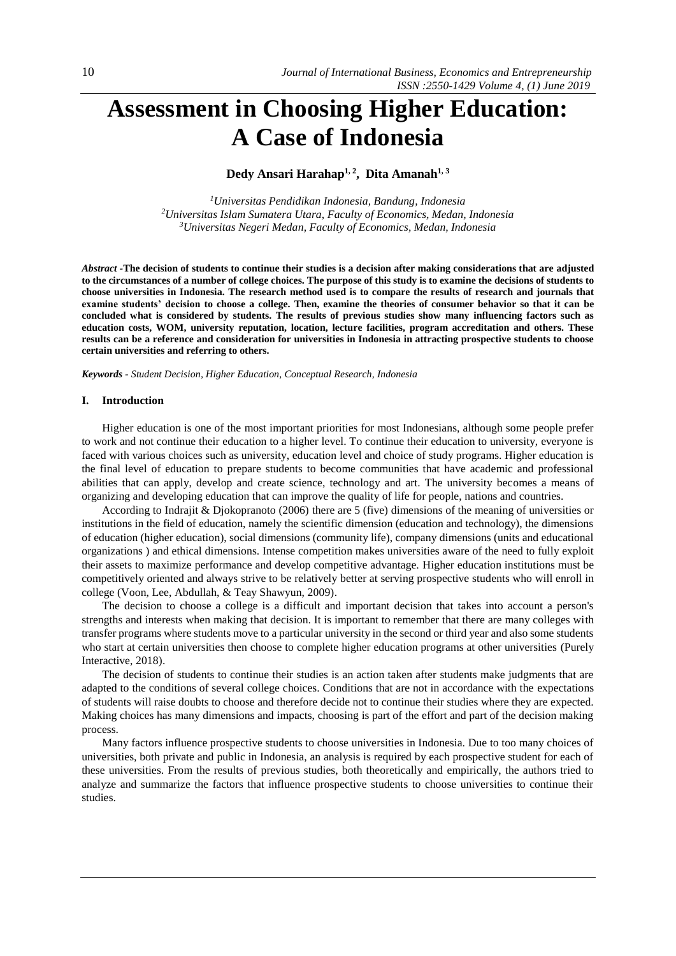# **Assessment in Choosing Higher Education: A Case of Indonesia**

**Dedy Ansari Harahap1, 2 , Dita Amanah1, 3**

*<sup>1</sup>Universitas Pendidikan Indonesia, Bandung, Indonesia <sup>2</sup>Universitas Islam Sumatera Utara, Faculty of Economics, Medan, Indonesia <sup>3</sup>Universitas Negeri Medan, Faculty of Economics, Medan, Indonesia*

*Abstract -***The decision of students to continue their studies is a decision after making considerations that are adjusted to the circumstances of a number of college choices. The purpose of this study is to examine the decisions of students to choose universities in Indonesia. The research method used is to compare the results of research and journals that examine students' decision to choose a college. Then, examine the theories of consumer behavior so that it can be concluded what is considered by students. The results of previous studies show many influencing factors such as education costs, WOM, university reputation, location, lecture facilities, program accreditation and others. These results can be a reference and consideration for universities in Indonesia in attracting prospective students to choose certain universities and referring to others.**

*Keywords - Student Decision, Higher Education, Conceptual Research, Indonesia* 

#### **I. Introduction**

Higher education is one of the most important priorities for most Indonesians, although some people prefer to work and not continue their education to a higher level. To continue their education to university, everyone is faced with various choices such as university, education level and choice of study programs. Higher education is the final level of education to prepare students to become communities that have academic and professional abilities that can apply, develop and create science, technology and art. The university becomes a means of organizing and developing education that can improve the quality of life for people, nations and countries.

According to Indrajit & Djokopranoto (2006) there are 5 (five) dimensions of the meaning of universities or institutions in the field of education, namely the scientific dimension (education and technology), the dimensions of education (higher education), social dimensions (community life), company dimensions (units and educational organizations ) and ethical dimensions. Intense competition makes universities aware of the need to fully exploit their assets to maximize performance and develop competitive advantage. Higher education institutions must be competitively oriented and always strive to be relatively better at serving prospective students who will enroll in college (Voon, Lee, Abdullah, & Teay Shawyun, 2009).

The decision to choose a college is a difficult and important decision that takes into account a person's strengths and interests when making that decision. It is important to remember that there are many colleges with transfer programs where students move to a particular university in the second or third year and also some students who start at certain universities then choose to complete higher education programs at other universities (Purely Interactive, 2018).

The decision of students to continue their studies is an action taken after students make judgments that are adapted to the conditions of several college choices. Conditions that are not in accordance with the expectations of students will raise doubts to choose and therefore decide not to continue their studies where they are expected. Making choices has many dimensions and impacts, choosing is part of the effort and part of the decision making process.

Many factors influence prospective students to choose universities in Indonesia. Due to too many choices of universities, both private and public in Indonesia, an analysis is required by each prospective student for each of these universities. From the results of previous studies, both theoretically and empirically, the authors tried to analyze and summarize the factors that influence prospective students to choose universities to continue their studies.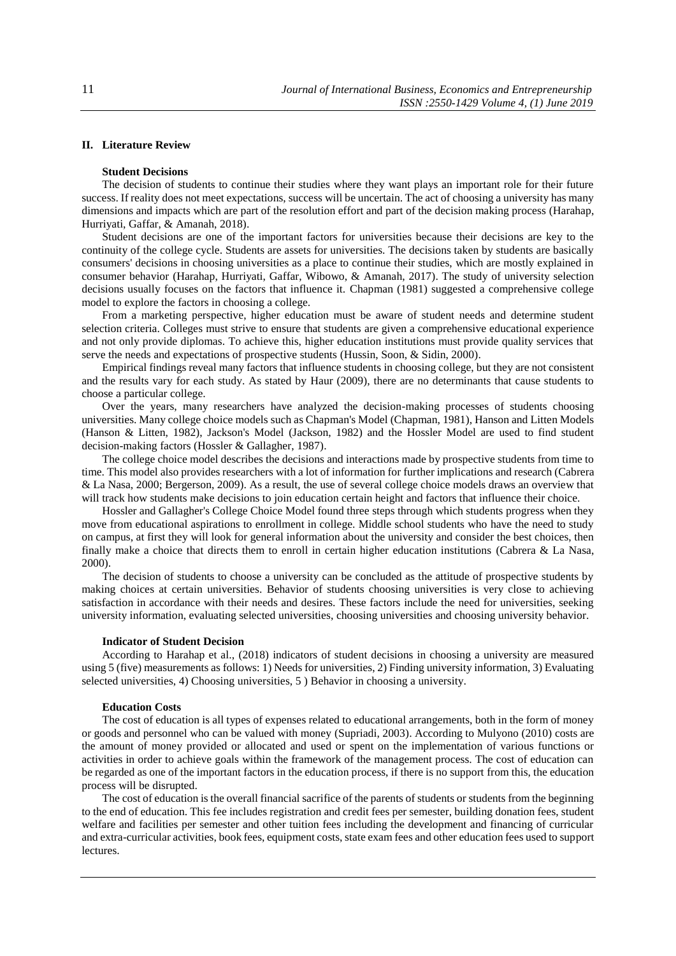# **II. Literature Review**

## **Student Decisions**

The decision of students to continue their studies where they want plays an important role for their future success. If reality does not meet expectations, success will be uncertain. The act of choosing a university has many dimensions and impacts which are part of the resolution effort and part of the decision making process (Harahap, Hurriyati, Gaffar, & Amanah, 2018).

Student decisions are one of the important factors for universities because their decisions are key to the continuity of the college cycle. Students are assets for universities. The decisions taken by students are basically consumers' decisions in choosing universities as a place to continue their studies, which are mostly explained in consumer behavior (Harahap, Hurriyati, Gaffar, Wibowo, & Amanah, 2017). The study of university selection decisions usually focuses on the factors that influence it. Chapman (1981) suggested a comprehensive college model to explore the factors in choosing a college.

From a marketing perspective, higher education must be aware of student needs and determine student selection criteria. Colleges must strive to ensure that students are given a comprehensive educational experience and not only provide diplomas. To achieve this, higher education institutions must provide quality services that serve the needs and expectations of prospective students (Hussin, Soon, & Sidin, 2000).

Empirical findings reveal many factors that influence students in choosing college, but they are not consistent and the results vary for each study. As stated by Haur (2009), there are no determinants that cause students to choose a particular college.

Over the years, many researchers have analyzed the decision-making processes of students choosing universities. Many college choice models such as Chapman's Model (Chapman, 1981), Hanson and Litten Models (Hanson & Litten, 1982), Jackson's Model (Jackson, 1982) and the Hossler Model are used to find student decision-making factors (Hossler & Gallagher, 1987).

The college choice model describes the decisions and interactions made by prospective students from time to time. This model also provides researchers with a lot of information for further implications and research (Cabrera & La Nasa, 2000; Bergerson, 2009). As a result, the use of several college choice models draws an overview that will track how students make decisions to join education certain height and factors that influence their choice.

Hossler and Gallagher's College Choice Model found three steps through which students progress when they move from educational aspirations to enrollment in college. Middle school students who have the need to study on campus, at first they will look for general information about the university and consider the best choices, then finally make a choice that directs them to enroll in certain higher education institutions (Cabrera & La Nasa, 2000).

The decision of students to choose a university can be concluded as the attitude of prospective students by making choices at certain universities. Behavior of students choosing universities is very close to achieving satisfaction in accordance with their needs and desires. These factors include the need for universities, seeking university information, evaluating selected universities, choosing universities and choosing university behavior.

#### **Indicator of Student Decision**

According to Harahap et al., (2018) indicators of student decisions in choosing a university are measured using 5 (five) measurements as follows: 1) Needs for universities, 2) Finding university information, 3) Evaluating selected universities, 4) Choosing universities, 5 ) Behavior in choosing a university.

## **Education Costs**

The cost of education is all types of expenses related to educational arrangements, both in the form of money or goods and personnel who can be valued with money (Supriadi, 2003). According to Mulyono (2010) costs are the amount of money provided or allocated and used or spent on the implementation of various functions or activities in order to achieve goals within the framework of the management process. The cost of education can be regarded as one of the important factors in the education process, if there is no support from this, the education process will be disrupted.

The cost of education is the overall financial sacrifice of the parents of students or students from the beginning to the end of education. This fee includes registration and credit fees per semester, building donation fees, student welfare and facilities per semester and other tuition fees including the development and financing of curricular and extra-curricular activities, book fees, equipment costs, state exam fees and other education fees used to support lectures.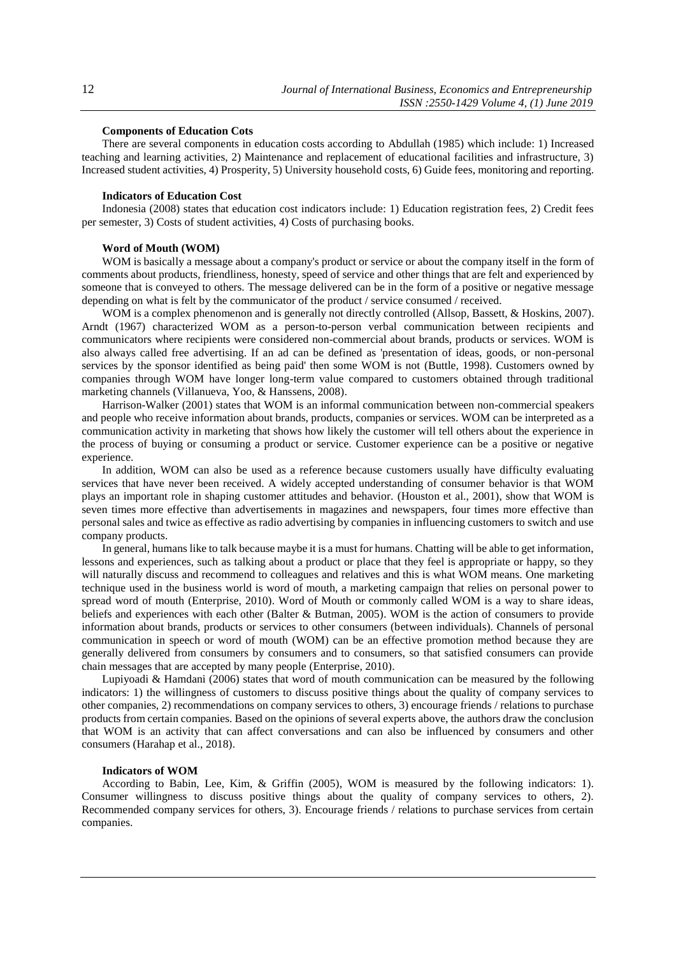# **Components of Education Cots**

There are several components in education costs according to Abdullah (1985) which include: 1) Increased teaching and learning activities, 2) Maintenance and replacement of educational facilities and infrastructure, 3) Increased student activities, 4) Prosperity, 5) University household costs, 6) Guide fees, monitoring and reporting.

## **Indicators of Education Cost**

Indonesia (2008) states that education cost indicators include: 1) Education registration fees, 2) Credit fees per semester, 3) Costs of student activities, 4) Costs of purchasing books.

## **Word of Mouth (WOM)**

WOM is basically a message about a company's product or service or about the company itself in the form of comments about products, friendliness, honesty, speed of service and other things that are felt and experienced by someone that is conveyed to others. The message delivered can be in the form of a positive or negative message depending on what is felt by the communicator of the product / service consumed / received.

WOM is a complex phenomenon and is generally not directly controlled (Allsop, Bassett, & Hoskins, 2007). Arndt (1967) characterized WOM as a person-to-person verbal communication between recipients and communicators where recipients were considered non-commercial about brands, products or services. WOM is also always called free advertising. If an ad can be defined as 'presentation of ideas, goods, or non-personal services by the sponsor identified as being paid' then some WOM is not (Buttle, 1998). Customers owned by companies through WOM have longer long-term value compared to customers obtained through traditional marketing channels (Villanueva, Yoo, & Hanssens, 2008).

Harrison-Walker (2001) states that WOM is an informal communication between non-commercial speakers and people who receive information about brands, products, companies or services. WOM can be interpreted as a communication activity in marketing that shows how likely the customer will tell others about the experience in the process of buying or consuming a product or service. Customer experience can be a positive or negative experience.

In addition, WOM can also be used as a reference because customers usually have difficulty evaluating services that have never been received. A widely accepted understanding of consumer behavior is that WOM plays an important role in shaping customer attitudes and behavior. (Houston et al., 2001), show that WOM is seven times more effective than advertisements in magazines and newspapers, four times more effective than personal sales and twice as effective as radio advertising by companies in influencing customers to switch and use company products.

In general, humans like to talk because maybe it is a must for humans. Chatting will be able to get information, lessons and experiences, such as talking about a product or place that they feel is appropriate or happy, so they will naturally discuss and recommend to colleagues and relatives and this is what WOM means. One marketing technique used in the business world is word of mouth, a marketing campaign that relies on personal power to spread word of mouth (Enterprise, 2010). Word of Mouth or commonly called WOM is a way to share ideas, beliefs and experiences with each other (Balter & Butman, 2005). WOM is the action of consumers to provide information about brands, products or services to other consumers (between individuals). Channels of personal communication in speech or word of mouth (WOM) can be an effective promotion method because they are generally delivered from consumers by consumers and to consumers, so that satisfied consumers can provide chain messages that are accepted by many people (Enterprise, 2010).

Lupiyoadi & Hamdani (2006) states that word of mouth communication can be measured by the following indicators: 1) the willingness of customers to discuss positive things about the quality of company services to other companies, 2) recommendations on company services to others, 3) encourage friends / relations to purchase products from certain companies. Based on the opinions of several experts above, the authors draw the conclusion that WOM is an activity that can affect conversations and can also be influenced by consumers and other consumers (Harahap et al., 2018).

## **Indicators of WOM**

According to Babin, Lee, Kim, & Griffin (2005), WOM is measured by the following indicators: 1). Consumer willingness to discuss positive things about the quality of company services to others, 2). Recommended company services for others, 3). Encourage friends / relations to purchase services from certain companies.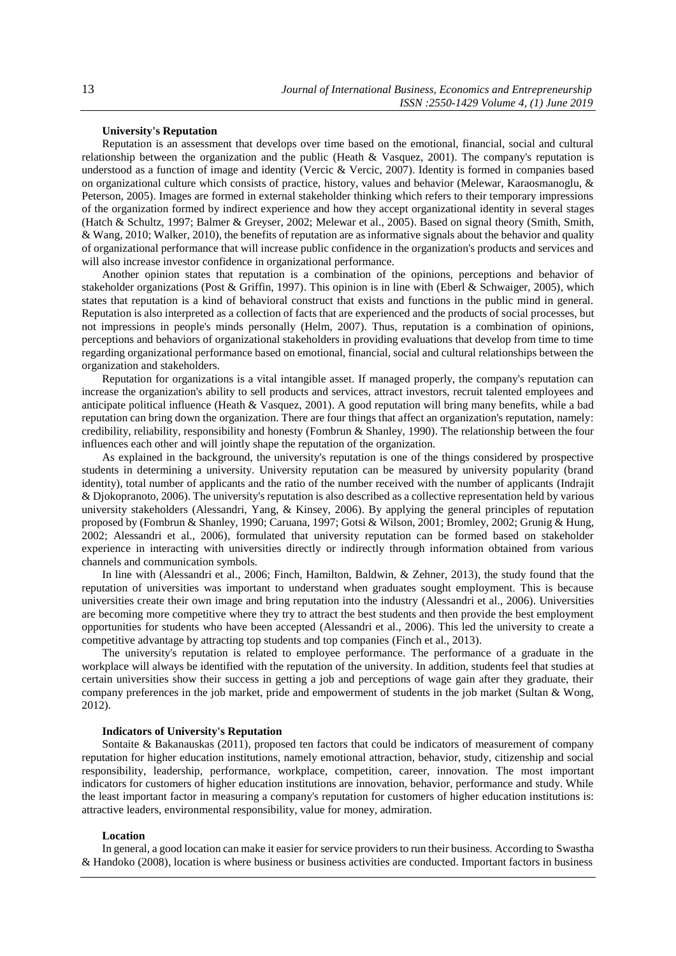# **University's Reputation**

Reputation is an assessment that develops over time based on the emotional, financial, social and cultural relationship between the organization and the public (Heath & Vasquez, 2001). The company's reputation is understood as a function of image and identity (Vercic & Vercic, 2007). Identity is formed in companies based on organizational culture which consists of practice, history, values and behavior (Melewar, Karaosmanoglu, & Peterson, 2005). Images are formed in external stakeholder thinking which refers to their temporary impressions of the organization formed by indirect experience and how they accept organizational identity in several stages (Hatch & Schultz, 1997; Balmer & Greyser, 2002; Melewar et al., 2005). Based on signal theory (Smith, Smith, & Wang, 2010; Walker, 2010), the benefits of reputation are as informative signals about the behavior and quality of organizational performance that will increase public confidence in the organization's products and services and will also increase investor confidence in organizational performance.

Another opinion states that reputation is a combination of the opinions, perceptions and behavior of stakeholder organizations (Post & Griffin, 1997). This opinion is in line with (Eberl & Schwaiger, 2005), which states that reputation is a kind of behavioral construct that exists and functions in the public mind in general. Reputation is also interpreted as a collection of facts that are experienced and the products of social processes, but not impressions in people's minds personally (Helm, 2007). Thus, reputation is a combination of opinions, perceptions and behaviors of organizational stakeholders in providing evaluations that develop from time to time regarding organizational performance based on emotional, financial, social and cultural relationships between the organization and stakeholders.

Reputation for organizations is a vital intangible asset. If managed properly, the company's reputation can increase the organization's ability to sell products and services, attract investors, recruit talented employees and anticipate political influence (Heath & Vasquez, 2001). A good reputation will bring many benefits, while a bad reputation can bring down the organization. There are four things that affect an organization's reputation, namely: credibility, reliability, responsibility and honesty (Fombrun & Shanley, 1990). The relationship between the four influences each other and will jointly shape the reputation of the organization.

As explained in the background, the university's reputation is one of the things considered by prospective students in determining a university. University reputation can be measured by university popularity (brand identity), total number of applicants and the ratio of the number received with the number of applicants (Indrajit & Djokopranoto, 2006). The university's reputation is also described as a collective representation held by various university stakeholders (Alessandri, Yang, & Kinsey, 2006). By applying the general principles of reputation proposed by (Fombrun & Shanley, 1990; Caruana, 1997; Gotsi & Wilson, 2001; Bromley, 2002; Grunig & Hung, 2002; Alessandri et al., 2006), formulated that university reputation can be formed based on stakeholder experience in interacting with universities directly or indirectly through information obtained from various channels and communication symbols.

In line with (Alessandri et al., 2006; Finch, Hamilton, Baldwin, & Zehner, 2013), the study found that the reputation of universities was important to understand when graduates sought employment. This is because universities create their own image and bring reputation into the industry (Alessandri et al., 2006). Universities are becoming more competitive where they try to attract the best students and then provide the best employment opportunities for students who have been accepted (Alessandri et al., 2006). This led the university to create a competitive advantage by attracting top students and top companies (Finch et al., 2013).

The university's reputation is related to employee performance. The performance of a graduate in the workplace will always be identified with the reputation of the university. In addition, students feel that studies at certain universities show their success in getting a job and perceptions of wage gain after they graduate, their company preferences in the job market, pride and empowerment of students in the job market (Sultan & Wong, 2012).

## **Indicators of University's Reputation**

Sontaite & Bakanauskas (2011), proposed ten factors that could be indicators of measurement of company reputation for higher education institutions, namely emotional attraction, behavior, study, citizenship and social responsibility, leadership, performance, workplace, competition, career, innovation. The most important indicators for customers of higher education institutions are innovation, behavior, performance and study. While the least important factor in measuring a company's reputation for customers of higher education institutions is: attractive leaders, environmental responsibility, value for money, admiration.

#### **Location**

In general, a good location can make it easier for service providers to run their business. According to Swastha & Handoko (2008), location is where business or business activities are conducted. Important factors in business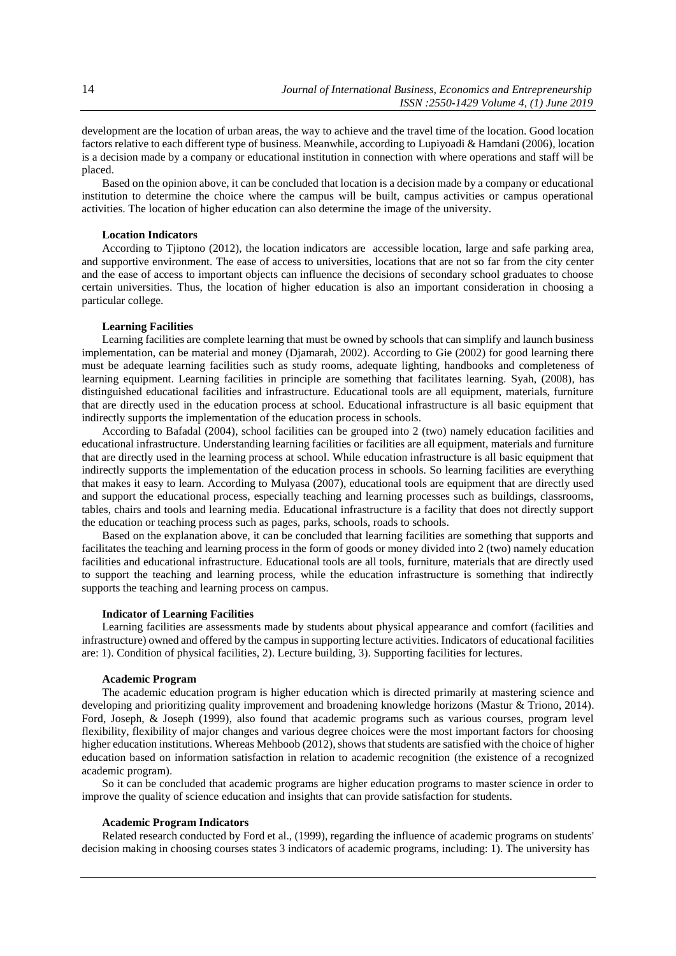development are the location of urban areas, the way to achieve and the travel time of the location. Good location factors relative to each different type of business. Meanwhile, according to Lupiyoadi & Hamdani (2006), location is a decision made by a company or educational institution in connection with where operations and staff will be placed.

Based on the opinion above, it can be concluded that location is a decision made by a company or educational institution to determine the choice where the campus will be built, campus activities or campus operational activities. The location of higher education can also determine the image of the university.

#### **Location Indicators**

According to Tjiptono (2012), the location indicators are accessible location, large and safe parking area, and supportive environment. The ease of access to universities, locations that are not so far from the city center and the ease of access to important objects can influence the decisions of secondary school graduates to choose certain universities. Thus, the location of higher education is also an important consideration in choosing a particular college.

## **Learning Facilities**

Learning facilities are complete learning that must be owned by schools that can simplify and launch business implementation, can be material and money (Djamarah, 2002). According to Gie (2002) for good learning there must be adequate learning facilities such as study rooms, adequate lighting, handbooks and completeness of learning equipment. Learning facilities in principle are something that facilitates learning. Syah, (2008), has distinguished educational facilities and infrastructure. Educational tools are all equipment, materials, furniture that are directly used in the education process at school. Educational infrastructure is all basic equipment that indirectly supports the implementation of the education process in schools.

According to Bafadal (2004), school facilities can be grouped into 2 (two) namely education facilities and educational infrastructure. Understanding learning facilities or facilities are all equipment, materials and furniture that are directly used in the learning process at school. While education infrastructure is all basic equipment that indirectly supports the implementation of the education process in schools. So learning facilities are everything that makes it easy to learn. According to Mulyasa (2007), educational tools are equipment that are directly used and support the educational process, especially teaching and learning processes such as buildings, classrooms, tables, chairs and tools and learning media. Educational infrastructure is a facility that does not directly support the education or teaching process such as pages, parks, schools, roads to schools.

Based on the explanation above, it can be concluded that learning facilities are something that supports and facilitates the teaching and learning process in the form of goods or money divided into 2 (two) namely education facilities and educational infrastructure. Educational tools are all tools, furniture, materials that are directly used to support the teaching and learning process, while the education infrastructure is something that indirectly supports the teaching and learning process on campus.

## **Indicator of Learning Facilities**

Learning facilities are assessments made by students about physical appearance and comfort (facilities and infrastructure) owned and offered by the campus in supporting lecture activities. Indicators of educational facilities are: 1). Condition of physical facilities, 2). Lecture building, 3). Supporting facilities for lectures.

## **Academic Program**

The academic education program is higher education which is directed primarily at mastering science and developing and prioritizing quality improvement and broadening knowledge horizons (Mastur & Triono, 2014). Ford, Joseph, & Joseph (1999), also found that academic programs such as various courses, program level flexibility, flexibility of major changes and various degree choices were the most important factors for choosing higher education institutions. Whereas Mehboob (2012), shows that students are satisfied with the choice of higher education based on information satisfaction in relation to academic recognition (the existence of a recognized academic program).

So it can be concluded that academic programs are higher education programs to master science in order to improve the quality of science education and insights that can provide satisfaction for students.

## **Academic Program Indicators**

Related research conducted by Ford et al., (1999), regarding the influence of academic programs on students' decision making in choosing courses states 3 indicators of academic programs, including: 1). The university has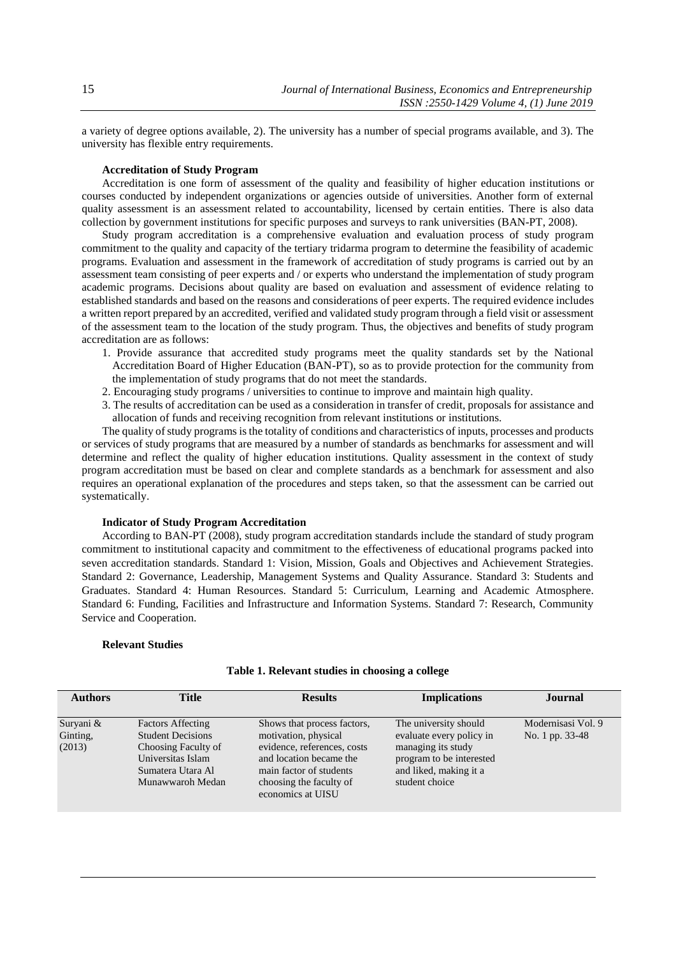a variety of degree options available, 2). The university has a number of special programs available, and 3). The university has flexible entry requirements.

## **Accreditation of Study Program**

Accreditation is one form of assessment of the quality and feasibility of higher education institutions or courses conducted by independent organizations or agencies outside of universities. Another form of external quality assessment is an assessment related to accountability, licensed by certain entities. There is also data collection by government institutions for specific purposes and surveys to rank universities (BAN-PT, 2008).

Study program accreditation is a comprehensive evaluation and evaluation process of study program commitment to the quality and capacity of the tertiary tridarma program to determine the feasibility of academic programs. Evaluation and assessment in the framework of accreditation of study programs is carried out by an assessment team consisting of peer experts and / or experts who understand the implementation of study program academic programs. Decisions about quality are based on evaluation and assessment of evidence relating to established standards and based on the reasons and considerations of peer experts. The required evidence includes a written report prepared by an accredited, verified and validated study program through a field visit or assessment of the assessment team to the location of the study program. Thus, the objectives and benefits of study program accreditation are as follows:

- 1. Provide assurance that accredited study programs meet the quality standards set by the National Accreditation Board of Higher Education (BAN-PT), so as to provide protection for the community from the implementation of study programs that do not meet the standards.
- 2. Encouraging study programs / universities to continue to improve and maintain high quality.
- 3. The results of accreditation can be used as a consideration in transfer of credit, proposals for assistance and allocation of funds and receiving recognition from relevant institutions or institutions.

The quality of study programs is the totality of conditions and characteristics of inputs, processes and products or services of study programs that are measured by a number of standards as benchmarks for assessment and will determine and reflect the quality of higher education institutions. Quality assessment in the context of study program accreditation must be based on clear and complete standards as a benchmark for assessment and also requires an operational explanation of the procedures and steps taken, so that the assessment can be carried out systematically.

## **Indicator of Study Program Accreditation**

According to BAN-PT (2008), study program accreditation standards include the standard of study program commitment to institutional capacity and commitment to the effectiveness of educational programs packed into seven accreditation standards. Standard 1: Vision, Mission, Goals and Objectives and Achievement Strategies. Standard 2: Governance, Leadership, Management Systems and Quality Assurance. Standard 3: Students and Graduates. Standard 4: Human Resources. Standard 5: Curriculum, Learning and Academic Atmosphere. Standard 6: Funding, Facilities and Infrastructure and Information Systems. Standard 7: Research, Community Service and Cooperation.

## **Relevant Studies**

| <b>Authors</b>                  | <b>Title</b>                                                                                                                              | <b>Results</b>                                                                                                                                                                           | <b>Implications</b>                                                                                                                             | Journal                               |
|---------------------------------|-------------------------------------------------------------------------------------------------------------------------------------------|------------------------------------------------------------------------------------------------------------------------------------------------------------------------------------------|-------------------------------------------------------------------------------------------------------------------------------------------------|---------------------------------------|
| Suryani &<br>Ginting,<br>(2013) | <b>Factors Affecting</b><br><b>Student Decisions</b><br>Choosing Faculty of<br>Universitas Islam<br>Sumatera Utara Al<br>Munawwaroh Medan | Shows that process factors,<br>motivation, physical<br>evidence, references, costs<br>and location became the<br>main factor of students<br>choosing the faculty of<br>economics at UISU | The university should<br>evaluate every policy in<br>managing its study<br>program to be interested<br>and liked, making it a<br>student choice | Modernisasi Vol. 9<br>No. 1 pp. 33-48 |

#### **Table 1. Relevant studies in choosing a college**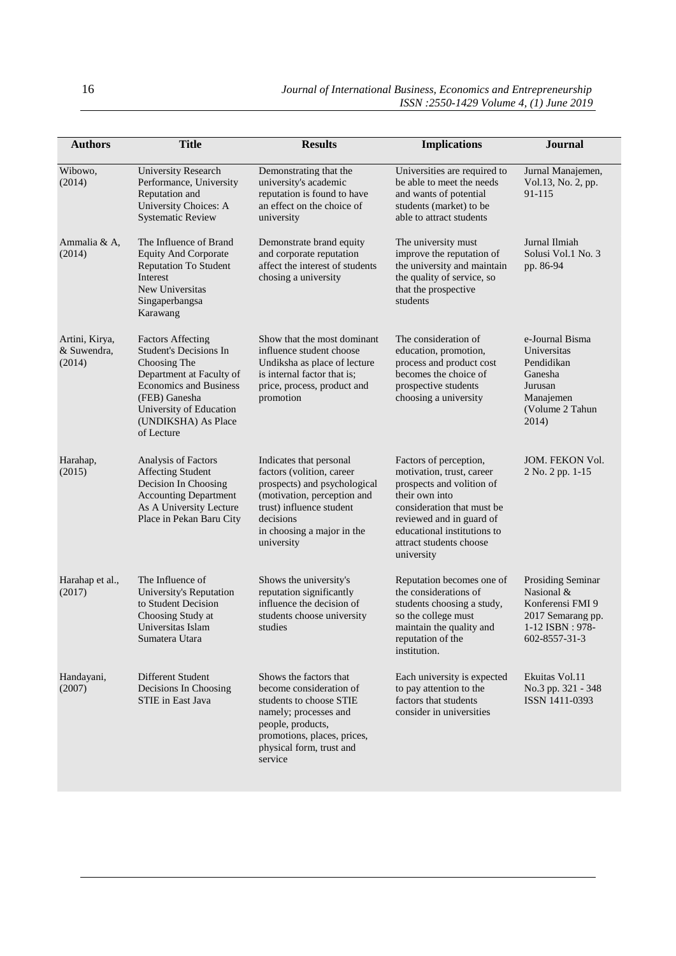| <b>Authors</b>                          | <b>Title</b>                                                                                                                                                                                                            | <b>Results</b>                                                                                                                                                                                           | <b>Implications</b>                                                                                                                                                                                                                  | <b>Journal</b>                                                                                               |
|-----------------------------------------|-------------------------------------------------------------------------------------------------------------------------------------------------------------------------------------------------------------------------|----------------------------------------------------------------------------------------------------------------------------------------------------------------------------------------------------------|--------------------------------------------------------------------------------------------------------------------------------------------------------------------------------------------------------------------------------------|--------------------------------------------------------------------------------------------------------------|
|                                         |                                                                                                                                                                                                                         |                                                                                                                                                                                                          |                                                                                                                                                                                                                                      |                                                                                                              |
| Wibowo,<br>(2014)                       | <b>University Research</b><br>Performance, University<br>Reputation and<br><b>University Choices: A</b><br><b>Systematic Review</b>                                                                                     | Demonstrating that the<br>university's academic<br>reputation is found to have<br>an effect on the choice of<br>university                                                                               | Universities are required to<br>be able to meet the needs<br>and wants of potential<br>students (market) to be<br>able to attract students                                                                                           | Jurnal Manajemen,<br>Vol.13, No. 2, pp.<br>91-115                                                            |
| Ammalia & A,<br>(2014)                  | The Influence of Brand<br><b>Equity And Corporate</b><br><b>Reputation To Student</b><br>Interest<br>New Universitas<br>Singaperbangsa<br>Karawang                                                                      | Demonstrate brand equity<br>and corporate reputation<br>affect the interest of students<br>chosing a university                                                                                          | The university must<br>improve the reputation of<br>the university and maintain<br>the quality of service, so<br>that the prospective<br>students                                                                                    | Jurnal Ilmiah<br>Solusi Vol.1 No. 3<br>pp. 86-94                                                             |
| Artini, Kirya,<br>& Suwendra,<br>(2014) | <b>Factors Affecting</b><br><b>Student's Decisions In</b><br>Choosing The<br>Department at Faculty of<br><b>Economics and Business</b><br>(FEB) Ganesha<br>University of Education<br>(UNDIKSHA) As Place<br>of Lecture | Show that the most dominant<br>influence student choose<br>Undiksha as place of lecture<br>is internal factor that is;<br>price, process, product and<br>promotion                                       | The consideration of<br>education, promotion,<br>process and product cost<br>becomes the choice of<br>prospective students<br>choosing a university                                                                                  | e-Journal Bisma<br>Universitas<br>Pendidikan<br>Ganesha<br>Jurusan<br>Manajemen<br>(Volume 2 Tahun<br>2014)  |
| Harahap,<br>(2015)                      | Analysis of Factors<br><b>Affecting Student</b><br>Decision In Choosing<br><b>Accounting Department</b><br>As A University Lecture<br>Place in Pekan Baru City                                                          | Indicates that personal<br>factors (volition, career<br>prospects) and psychological<br>(motivation, perception and<br>trust) influence student<br>decisions<br>in choosing a major in the<br>university | Factors of perception,<br>motivation, trust, career<br>prospects and volition of<br>their own into<br>consideration that must be<br>reviewed and in guard of<br>educational institutions to<br>attract students choose<br>university | JOM. FEKON Vol.<br>2 No. 2 pp. 1-15                                                                          |
| Harahap et al.,<br>(2017)               | The Influence of<br>University's Reputation<br>to Student Decision<br>Choosing Study at<br>Universitas Islam<br>Sumatera Utara                                                                                          | Shows the university's<br>reputation significantly<br>influence the decision of<br>students choose university<br>studies                                                                                 | Reputation becomes one of<br>the considerations of<br>students choosing a study,<br>so the college must<br>maintain the quality and<br>reputation of the<br>institution.                                                             | Prosiding Seminar<br>Nasional &<br>Konferensi FMI 9<br>2017 Semarang pp.<br>1-12 ISBN: 978-<br>602-8557-31-3 |
| Handayani,<br>(2007)                    | Different Student<br>Decisions In Choosing<br>STIE in East Java                                                                                                                                                         | Shows the factors that<br>become consideration of<br>students to choose STIE<br>namely; processes and<br>people, products,<br>promotions, places, prices,<br>physical form, trust and<br>service         | Each university is expected<br>to pay attention to the<br>factors that students<br>consider in universities                                                                                                                          | Ekuitas Vol.11<br>No.3 pp. 321 - 348<br>ISSN 1411-0393                                                       |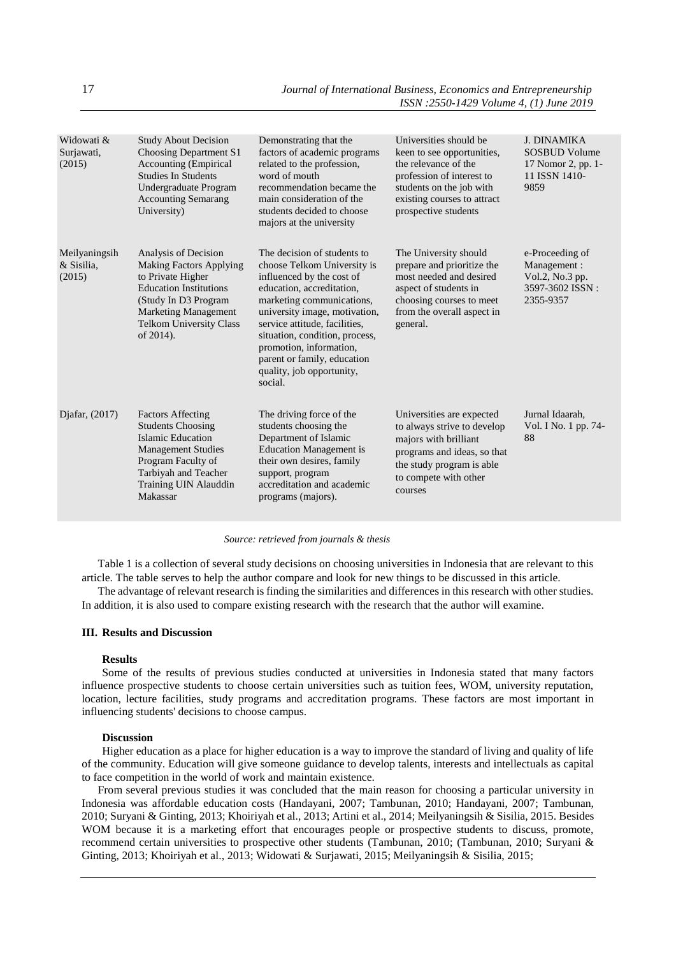| Widowati &<br>Surjawati,<br>(2015)    | <b>Study About Decision</b><br>Choosing Department S1<br><b>Accounting (Empirical</b><br><b>Studies In Students</b><br>Undergraduate Program<br><b>Accounting Semarang</b><br>University)                          | Demonstrating that the<br>factors of academic programs<br>related to the profession,<br>word of mouth<br>recommendation became the<br>main consideration of the<br>students decided to choose<br>majors at the university                                                                                                                               | Universities should be<br>keen to see opportunities,<br>the relevance of the<br>profession of interest to<br>students on the job with<br>existing courses to attract<br>prospective students | <b>J. DINAMIKA</b><br><b>SOSBUD Volume</b><br>17 Nomor 2, pp. 1-<br>11 ISSN 1410-<br>9859 |
|---------------------------------------|--------------------------------------------------------------------------------------------------------------------------------------------------------------------------------------------------------------------|---------------------------------------------------------------------------------------------------------------------------------------------------------------------------------------------------------------------------------------------------------------------------------------------------------------------------------------------------------|----------------------------------------------------------------------------------------------------------------------------------------------------------------------------------------------|-------------------------------------------------------------------------------------------|
| Meilyaningsih<br>& Sisilia,<br>(2015) | Analysis of Decision<br><b>Making Factors Applying</b><br>to Private Higher<br><b>Education Institutions</b><br>(Study In D3 Program<br><b>Marketing Management</b><br><b>Telkom University Class</b><br>of 2014). | The decision of students to<br>choose Telkom University is<br>influenced by the cost of<br>education, accreditation,<br>marketing communications,<br>university image, motivation,<br>service attitude, facilities,<br>situation, condition, process,<br>promotion, information,<br>parent or family, education<br>quality, job opportunity,<br>social. | The University should<br>prepare and prioritize the<br>most needed and desired<br>aspect of students in<br>choosing courses to meet<br>from the overall aspect in<br>general.                | e-Proceeding of<br>Management:<br>Vol.2, No.3 pp.<br>3597-3602 ISSN:<br>2355-9357         |
| Djafar, (2017)                        | <b>Factors Affecting</b><br><b>Students Choosing</b><br>Islamic Education<br><b>Management Studies</b><br>Program Faculty of<br>Tarbiyah and Teacher<br>Training UIN Alauddin<br>Makassar                          | The driving force of the<br>students choosing the<br>Department of Islamic<br><b>Education Management is</b><br>their own desires, family<br>support, program<br>accreditation and academic<br>programs (majors).                                                                                                                                       | Universities are expected<br>to always strive to develop<br>majors with brilliant<br>programs and ideas, so that<br>the study program is able<br>to compete with other<br>courses            | Jurnal Idaarah,<br>Vol. I No. 1 pp. 74-<br>88                                             |

## *Source: retrieved from journals & thesis*

Table 1 is a collection of several study decisions on choosing universities in Indonesia that are relevant to this article. The table serves to help the author compare and look for new things to be discussed in this article.

The advantage of relevant research is finding the similarities and differences in this research with other studies. In addition, it is also used to compare existing research with the research that the author will examine.

## **III. Results and Discussion**

## **Results**

Some of the results of previous studies conducted at universities in Indonesia stated that many factors influence prospective students to choose certain universities such as tuition fees, WOM, university reputation, location, lecture facilities, study programs and accreditation programs. These factors are most important in influencing students' decisions to choose campus.

## **Discussion**

Higher education as a place for higher education is a way to improve the standard of living and quality of life of the community. Education will give someone guidance to develop talents, interests and intellectuals as capital to face competition in the world of work and maintain existence.

From several previous studies it was concluded that the main reason for choosing a particular university in Indonesia was affordable education costs (Handayani, 2007; Tambunan, 2010; Handayani, 2007; Tambunan, 2010; Suryani & Ginting, 2013; Khoiriyah et al., 2013; Artini et al., 2014; Meilyaningsih & Sisilia, 2015. Besides WOM because it is a marketing effort that encourages people or prospective students to discuss, promote, recommend certain universities to prospective other students (Tambunan, 2010; (Tambunan, 2010; Suryani & Ginting, 2013; Khoiriyah et al., 2013; Widowati & Surjawati, 2015; Meilyaningsih & Sisilia, 2015;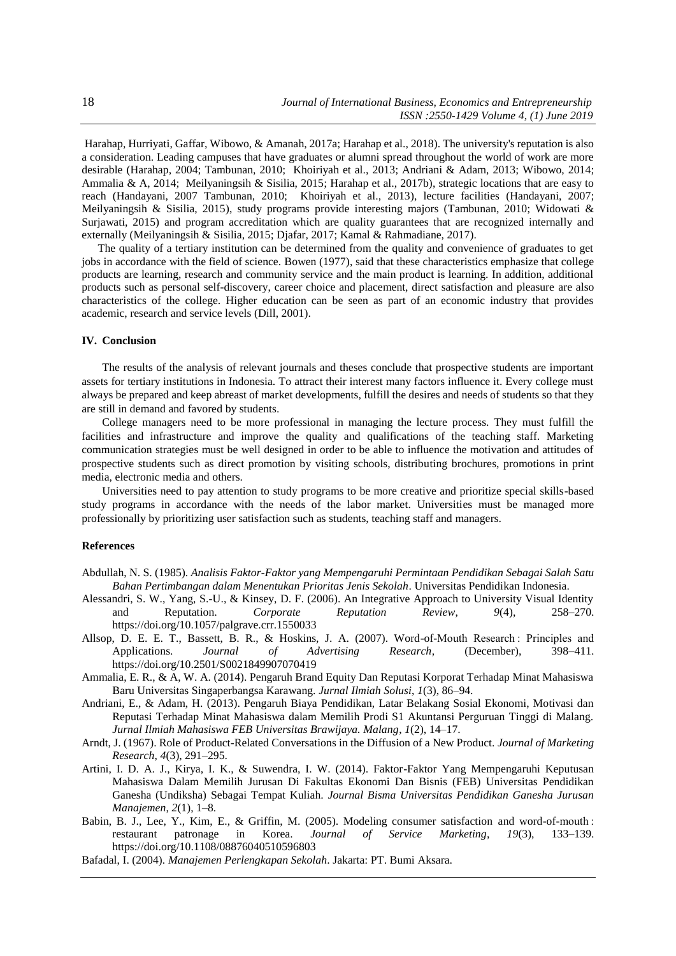Harahap, Hurriyati, Gaffar, Wibowo, & Amanah, 2017a; Harahap et al., 2018). The university's reputation is also a consideration. Leading campuses that have graduates or alumni spread throughout the world of work are more desirable (Harahap, 2004; Tambunan, 2010; Khoiriyah et al., 2013; Andriani & Adam, 2013; Wibowo, 2014; Ammalia & A, 2014; Meilyaningsih & Sisilia, 2015; Harahap et al., 2017b), strategic locations that are easy to reach (Handayani, 2007 Tambunan, 2010; Khoiriyah et al., 2013), lecture facilities (Handayani, 2007; Meilyaningsih & Sisilia, 2015), study programs provide interesting majors (Tambunan, 2010; Widowati & Surjawati, 2015) and program accreditation which are quality guarantees that are recognized internally and externally (Meilyaningsih & Sisilia, 2015; Djafar, 2017; Kamal & Rahmadiane, 2017).

The quality of a tertiary institution can be determined from the quality and convenience of graduates to get jobs in accordance with the field of science. Bowen (1977), said that these characteristics emphasize that college products are learning, research and community service and the main product is learning. In addition, additional products such as personal self-discovery, career choice and placement, direct satisfaction and pleasure are also characteristics of the college. Higher education can be seen as part of an economic industry that provides academic, research and service levels (Dill, 2001).

## **IV. Conclusion**

The results of the analysis of relevant journals and theses conclude that prospective students are important assets for tertiary institutions in Indonesia. To attract their interest many factors influence it. Every college must always be prepared and keep abreast of market developments, fulfill the desires and needs of students so that they are still in demand and favored by students.

College managers need to be more professional in managing the lecture process. They must fulfill the facilities and infrastructure and improve the quality and qualifications of the teaching staff. Marketing communication strategies must be well designed in order to be able to influence the motivation and attitudes of prospective students such as direct promotion by visiting schools, distributing brochures, promotions in print media, electronic media and others.

Universities need to pay attention to study programs to be more creative and prioritize special skills-based study programs in accordance with the needs of the labor market. Universities must be managed more professionally by prioritizing user satisfaction such as students, teaching staff and managers.

# **References**

- Abdullah, N. S. (1985). *Analisis Faktor-Faktor yang Mempengaruhi Permintaan Pendidikan Sebagai Salah Satu Bahan Pertimbangan dalam Menentukan Prioritas Jenis Sekolah*. Universitas Pendidikan Indonesia.
- Alessandri, S. W., Yang, S.-U., & Kinsey, D. F. (2006). An Integrative Approach to University Visual Identity and Reputation. *Corporate Reputation Review*, *9*(4), 258–270. https://doi.org/10.1057/palgrave.crr.1550033
- Allsop, D. E. E. T., Bassett, B. R., & Hoskins, J. A. (2007). Word-of-Mouth Research : Principles and Applications. Journal of Advertising Research, (December), 398–411. Applications. *Journal* of https://doi.org/10.2501/S0021849907070419
- Ammalia, E. R., & A, W. A. (2014). Pengaruh Brand Equity Dan Reputasi Korporat Terhadap Minat Mahasiswa Baru Universitas Singaperbangsa Karawang. *Jurnal Ilmiah Solusi*, *1*(3), 86–94.
- Andriani, E., & Adam, H. (2013). Pengaruh Biaya Pendidikan, Latar Belakang Sosial Ekonomi, Motivasi dan Reputasi Terhadap Minat Mahasiswa dalam Memilih Prodi S1 Akuntansi Perguruan Tinggi di Malang. *Jurnal Ilmiah Mahasiswa FEB Universitas Brawijaya. Malang*, *1*(2), 14–17.
- Arndt, J. (1967). Role of Product-Related Conversations in the Diffusion of a New Product. *Journal of Marketing Research*, *4*(3), 291–295.
- Artini, I. D. A. J., Kirya, I. K., & Suwendra, I. W. (2014). Faktor-Faktor Yang Mempengaruhi Keputusan Mahasiswa Dalam Memilih Jurusan Di Fakultas Ekonomi Dan Bisnis (FEB) Universitas Pendidikan Ganesha (Undiksha) Sebagai Tempat Kuliah. *Journal Bisma Universitas Pendidikan Ganesha Jurusan Manajemen*, *2*(1), 1–8.
- Babin, B. J., Lee, Y., Kim, E., & Griffin, M. (2005). Modeling consumer satisfaction and word-of-mouth : restaurant patronage in Korea. *Journal of Service Marketing*, *19*(3), 133–139. https://doi.org/10.1108/08876040510596803

Bafadal, I. (2004). *Manajemen Perlengkapan Sekolah*. Jakarta: PT. Bumi Aksara.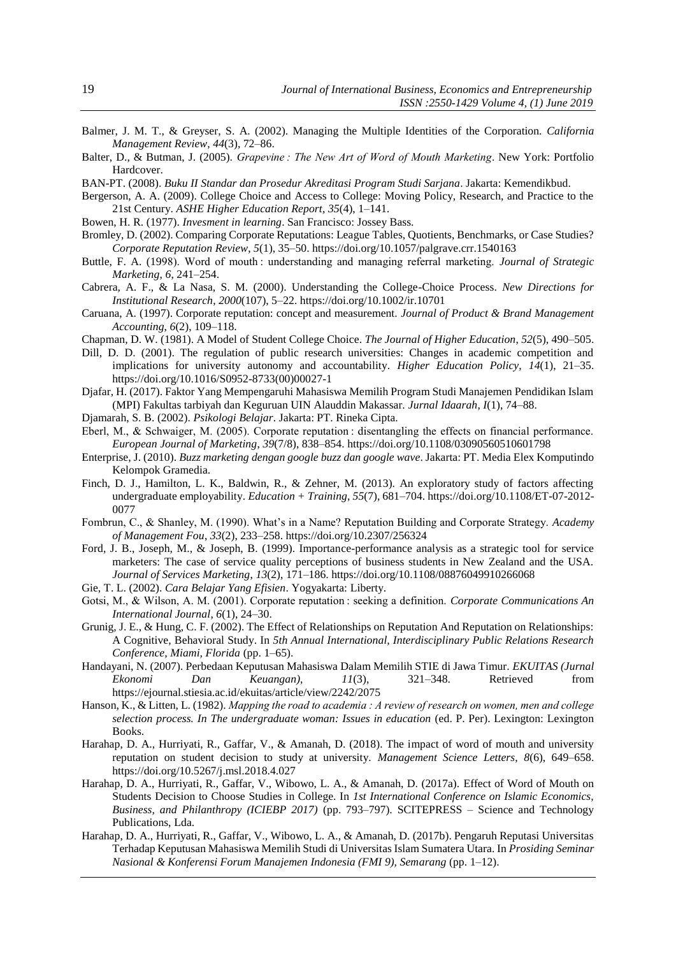- Balmer, J. M. T., & Greyser, S. A. (2002). Managing the Multiple Identities of the Corporation. *California Management Review*, *44*(3), 72–86.
- Balter, D., & Butman, J. (2005). *Grapevine : The New Art of Word of Mouth Marketing*. New York: Portfolio Hardcover.
- BAN-PT. (2008). *Buku II Standar dan Prosedur Akreditasi Program Studi Sarjana*. Jakarta: Kemendikbud.
- Bergerson, A. A. (2009). College Choice and Access to College: Moving Policy, Research, and Practice to the 21st Century. *ASHE Higher Education Report*, *35*(4), 1–141.
- Bowen, H. R. (1977). *Invesment in learning*. San Francisco: Jossey Bass.
- Bromley, D. (2002). Comparing Corporate Reputations: League Tables, Quotients, Benchmarks, or Case Studies? *Corporate Reputation Review*, *5*(1), 35–50. https://doi.org/10.1057/palgrave.crr.1540163
- Buttle, F. A. (1998). Word of mouth : understanding and managing referral marketing. *Journal of Strategic Marketing*, *6*, 241–254.
- Cabrera, A. F., & La Nasa, S. M. (2000). Understanding the College-Choice Process. *New Directions for Institutional Research*, *2000*(107), 5–22. https://doi.org/10.1002/ir.10701
- Caruana, A. (1997). Corporate reputation: concept and measurement. *Journal of Product & Brand Management Accounting*, *6*(2), 109–118.
- Chapman, D. W. (1981). A Model of Student College Choice. *The Journal of Higher Education*, *52*(5), 490–505.
- Dill, D. D. (2001). The regulation of public research universities: Changes in academic competition and implications for university autonomy and accountability. *Higher Education Policy*, *14*(1), 21–35. https://doi.org/10.1016/S0952-8733(00)00027-1
- Djafar, H. (2017). Faktor Yang Mempengaruhi Mahasiswa Memilih Program Studi Manajemen Pendidikan Islam (MPI) Fakultas tarbiyah dan Keguruan UIN Alauddin Makassar. *Jurnal Idaarah*, *I*(1), 74–88.
- Djamarah, S. B. (2002). *Psikologi Belajar*. Jakarta: PT. Rineka Cipta.
- Eberl, M., & Schwaiger, M. (2005). Corporate reputation : disentangling the effects on financial performance. *European Journal of Marketing*, *39*(7/8), 838–854. https://doi.org/10.1108/03090560510601798
- Enterprise, J. (2010). *Buzz marketing dengan google buzz dan google wave*. Jakarta: PT. Media Elex Komputindo Kelompok Gramedia.
- Finch, D. J., Hamilton, L. K., Baldwin, R., & Zehner, M. (2013). An exploratory study of factors affecting undergraduate employability. *Education + Training*, *55*(7), 681–704. https://doi.org/10.1108/ET-07-2012- 0077
- Fombrun, C., & Shanley, M. (1990). What's in a Name? Reputation Building and Corporate Strategy. *Academy of Management Fou*, *33*(2), 233–258. https://doi.org/10.2307/256324
- Ford, J. B., Joseph, M., & Joseph, B. (1999). Importance-performance analysis as a strategic tool for service marketers: The case of service quality perceptions of business students in New Zealand and the USA. *Journal of Services Marketing*, *13*(2), 171–186. https://doi.org/10.1108/08876049910266068
- Gie, T. L. (2002). *Cara Belajar Yang Efisien*. Yogyakarta: Liberty.
- Gotsi, M., & Wilson, A. M. (2001). Corporate reputation : seeking a definition. *Corporate Communications An International Journal*, *6*(1), 24–30.
- Grunig, J. E., & Hung, C. F. (2002). The Effect of Relationships on Reputation And Reputation on Relationships: A Cognitive, Behavioral Study. In *5th Annual International, Interdisciplinary Public Relations Research Conference, Miami, Florida* (pp. 1–65).
- Handayani, N. (2007). Perbedaan Keputusan Mahasiswa Dalam Memilih STIE di Jawa Timur. *EKUITAS (Jurnal Ekonomi Dan Keuangan)*, *11*(3), 321–348. Retrieved from https://ejournal.stiesia.ac.id/ekuitas/article/view/2242/2075
- Hanson, K., & Litten, L. (1982). *Mapping the road to academia : A review of research on women, men and college selection process. In The undergraduate woman: Issues in education* (ed. P. Per). Lexington: Lexington Books.
- Harahap, D. A., Hurriyati, R., Gaffar, V., & Amanah, D. (2018). The impact of word of mouth and university reputation on student decision to study at university. *Management Science Letters*, *8*(6), 649–658. https://doi.org/10.5267/j.msl.2018.4.027
- Harahap, D. A., Hurriyati, R., Gaffar, V., Wibowo, L. A., & Amanah, D. (2017a). Effect of Word of Mouth on Students Decision to Choose Studies in College. In *1st International Conference on Islamic Economics, Business, and Philanthropy (ICIEBP 2017)* (pp. 793–797). SCITEPRESS – Science and Technology Publications, Lda.
- Harahap, D. A., Hurriyati, R., Gaffar, V., Wibowo, L. A., & Amanah, D. (2017b). Pengaruh Reputasi Universitas Terhadap Keputusan Mahasiswa Memilih Studi di Universitas Islam Sumatera Utara. In *Prosiding Seminar Nasional & Konferensi Forum Manajemen Indonesia (FMI 9), Semarang* (pp. 1–12).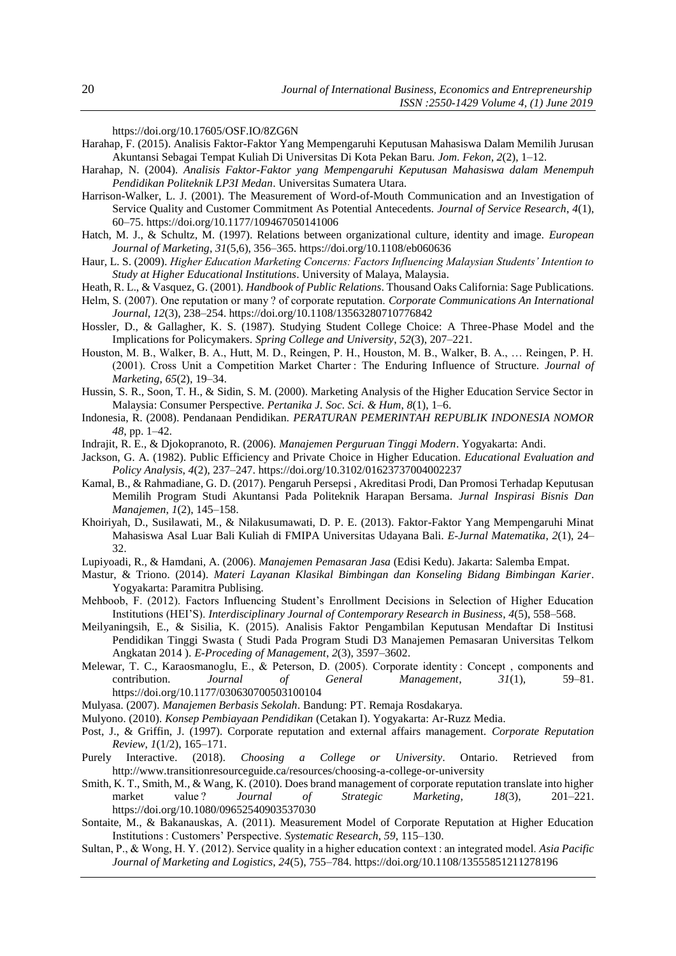https://doi.org/10.17605/OSF.IO/8ZG6N

- Harahap, F. (2015). Analisis Faktor-Faktor Yang Mempengaruhi Keputusan Mahasiswa Dalam Memilih Jurusan Akuntansi Sebagai Tempat Kuliah Di Universitas Di Kota Pekan Baru. *Jom. Fekon*, *2*(2), 1–12.
- Harahap, N. (2004). *Analisis Faktor-Faktor yang Mempengaruhi Keputusan Mahasiswa dalam Menempuh Pendidikan Politeknik LP3I Medan*. Universitas Sumatera Utara.
- Harrison-Walker, L. J. (2001). The Measurement of Word-of-Mouth Communication and an Investigation of Service Quality and Customer Commitment As Potential Antecedents. *Journal of Service Research*, *4*(1), 60–75. https://doi.org/10.1177/109467050141006
- Hatch, M. J., & Schultz, M. (1997). Relations between organizational culture, identity and image. *European Journal of Marketing*, *31*(5,6), 356–365. https://doi.org/10.1108/eb060636
- Haur, L. S. (2009). *Higher Education Marketing Concerns: Factors Influencing Malaysian Students' Intention to Study at Higher Educational Institutions*. University of Malaya, Malaysia.
- Heath, R. L., & Vasquez, G. (2001). *Handbook of Public Relations*. Thousand Oaks California: Sage Publications.
- Helm, S. (2007). One reputation or many ? of corporate reputation. *Corporate Communications An International Journal*, *12*(3), 238–254. https://doi.org/10.1108/13563280710776842
- Hossler, D., & Gallagher, K. S. (1987). Studying Student College Choice: A Three-Phase Model and the Implications for Policymakers. *Spring College and University*, *52*(3), 207–221.
- Houston, M. B., Walker, B. A., Hutt, M. D., Reingen, P. H., Houston, M. B., Walker, B. A., … Reingen, P. H. (2001). Cross Unit a Competition Market Charter : The Enduring Influence of Structure. *Journal of Marketing*, *65*(2), 19–34.
- Hussin, S. R., Soon, T. H., & Sidin, S. M. (2000). Marketing Analysis of the Higher Education Service Sector in Malaysia: Consumer Perspective. *Pertanika J. Soc. Sci. & Hum*, *8*(1), 1–6.
- Indonesia, R. (2008). Pendanaan Pendidikan. *PERATURAN PEMERINTAH REPUBLIK INDONESIA NOMOR 48*, pp. 1–42.
- Indrajit, R. E., & Djokopranoto, R. (2006). *Manajemen Perguruan Tinggi Modern*. Yogyakarta: Andi.
- Jackson, G. A. (1982). Public Efficiency and Private Choice in Higher Education. *Educational Evaluation and Policy Analysis*, *4*(2), 237–247. https://doi.org/10.3102/01623737004002237
- Kamal, B., & Rahmadiane, G. D. (2017). Pengaruh Persepsi , Akreditasi Prodi, Dan Promosi Terhadap Keputusan Memilih Program Studi Akuntansi Pada Politeknik Harapan Bersama. *Jurnal Inspirasi Bisnis Dan Manajemen*, *1*(2), 145–158.
- Khoiriyah, D., Susilawati, M., & Nilakusumawati, D. P. E. (2013). Faktor-Faktor Yang Mempengaruhi Minat Mahasiswa Asal Luar Bali Kuliah di FMIPA Universitas Udayana Bali. *E-Jurnal Matematika*, *2*(1), 24– 32.
- Lupiyoadi, R., & Hamdani, A. (2006). *Manajemen Pemasaran Jasa* (Edisi Kedu). Jakarta: Salemba Empat.
- Mastur, & Triono. (2014). *Materi Layanan Klasikal Bimbingan dan Konseling Bidang Bimbingan Karier*. Yogyakarta: Paramitra Publising.
- Mehboob, F. (2012). Factors Influencing Student's Enrollment Decisions in Selection of Higher Education Institutions (HEI'S). *Interdisciplinary Journal of Contemporary Research in Business*, *4*(5), 558–568.
- Meilyaningsih, E., & Sisilia, K. (2015). Analisis Faktor Pengambilan Keputusan Mendaftar Di Institusi Pendidikan Tinggi Swasta ( Studi Pada Program Studi D3 Manajemen Pemasaran Universitas Telkom Angkatan 2014 ). *E-Proceding of Management*, *2*(3), 3597–3602.
- Melewar, T. C., Karaosmanoglu, E., & Peterson, D. (2005). Corporate identity : Concept , components and contribution. *Journal of General Management*, *31*(1), 59–81. https://doi.org/10.1177/030630700503100104
- Mulyasa. (2007). *Manajemen Berbasis Sekolah*. Bandung: PT. Remaja Rosdakarya.
- Mulyono. (2010). *Konsep Pembiayaan Pendidikan* (Cetakan I). Yogyakarta: Ar-Ruzz Media.
- Post, J., & Griffin, J. (1997). Corporate reputation and external affairs management. *Corporate Reputation Review*, *1*(1/2), 165–171.
- Purely Interactive. (2018). *Choosing a College or University*. Ontario. Retrieved from http://www.transitionresourceguide.ca/resources/choosing-a-college-or-university
- Smith, K. T., Smith, M., & Wang, K. (2010). Does brand management of corporate reputation translate into higher market value ? *Journal of Strategic Marketing*, *18*(3), 201–221. https://doi.org/10.1080/09652540903537030
- Sontaite, M., & Bakanauskas, A. (2011). Measurement Model of Corporate Reputation at Higher Education Institutions : Customers' Perspective. *Systematic Research*, *59*, 115–130.
- Sultan, P., & Wong, H. Y. (2012). Service quality in a higher education context : an integrated model. *Asia Pacific Journal of Marketing and Logistics*, *24*(5), 755–784. https://doi.org/10.1108/13555851211278196